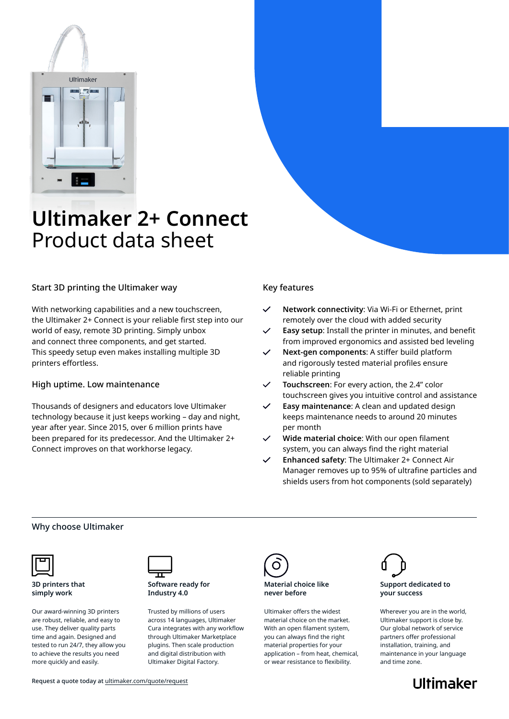

# **Ultimaker 2+ Connect** Product data sheet

## Start 3D printing the Ultimaker way

With networking capabilities and a new touchscreen, the Ultimaker 2+ Connect is your reliable first step into our world of easy, remote 3D printing. Simply unbox and connect three components, and get started. This speedy setup even makes installing multiple 3D printers effortless.

## High uptime. Low maintenance

Thousands of designers and educators love Ultimaker technology because it just keeps working – day and night, year after year. Since 2015, over 6 million prints have been prepared for its predecessor. And the Ultimaker 2+ Connect improves on that workhorse legacy.

## Key features

- **Network connectivity**: Via Wi-Fi or Ethernet, print remotely over the cloud with added security
- **Easy setup**: Install the printer in minutes, and benefit from improved ergonomics and assisted bed leveling
- **Next-gen components**: A stiffer build platform and rigorously tested material profiles ensure reliable printing
- **Touchscreen**: For every action, the 2.4" color  $\checkmark$ touchscreen gives you intuitive control and assistance
- **Easy maintenance**: A clean and updated design keeps maintenance needs to around 20 minutes per month
- **Wide material choice**: With our open filament system, you can always find the right material
- **Enhanced safety**: The Ultimaker 2+ Connect Air Manager removes up to 95% of ultrafine particles and shields users from hot components (sold separately)

### Why choose Ultimaker



**3D printers that simply work**

Our award-winning 3D printers are robust, reliable, and easy to use. They deliver quality parts time and again. Designed and tested to run 24/7, they allow you to achieve the results you need more quickly and easily.



**Software ready for Industry 4.0**

Trusted by millions of users across 14 languages, Ultimaker Cura integrates with any workflow through Ultimaker Marketplace plugins. Then scale production and digital distribution with Ultimaker Digital Factory.



#### **Material choice like never before**

Ultimaker offers the widest material choice on the market. With an open filament system, you can always find the right material properties for your application – from heat, chemical, or wear resistance to flexibility.



#### **Support dedicated to your success**

Wherever you are in the world, Ultimaker support is close by. Our global network of service partners offer professional installation, training, and maintenance in your language and time zone.

**Ultimaker**